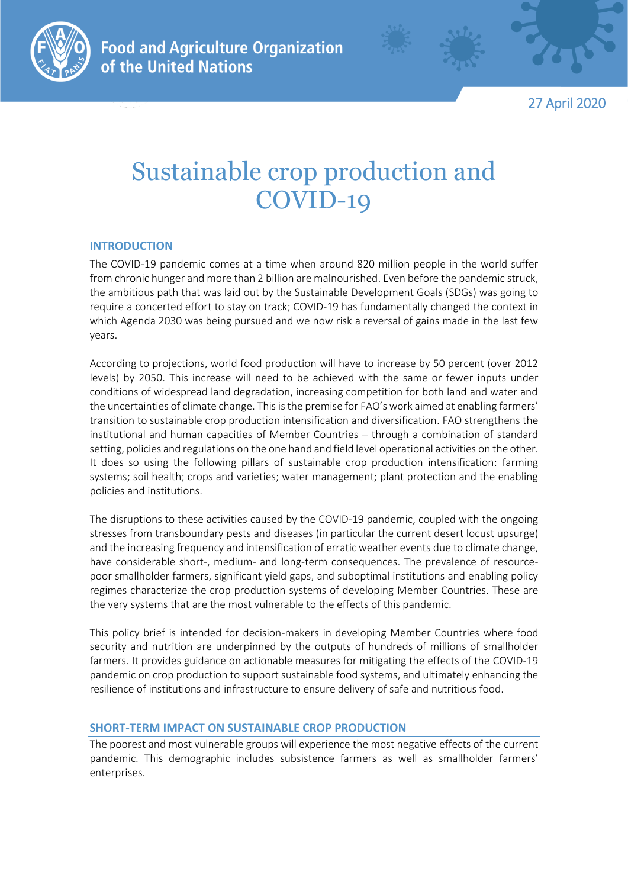

27 April 2020

# Sustainable crop production and COVID-19

## **INTRODUCTION**

The COVID-19 pandemic comes at a time when around 820 million people in the world suffer from chronic hunger and more than 2 billion are malnourished. Even before the pandemic struck, the ambitious path that was laid out by the Sustainable Development Goals (SDGs) was going to require a concerted effort to stay on track; COVID-19 has fundamentally changed the context in which Agenda 2030 was being pursued and we now risk a reversal of gains made in the last few years.

According to projections, world food production will have to increase by 50 percent (over 2012 levels) by 2050. This increase will need to be achieved with the same or fewer inputs under conditions of widespread land degradation, increasing competition for both land and water and the uncertainties of climate change. This is the premise for FAO's work aimed at enabling farmers' transition to sustainable crop production intensification and diversification. FAO strengthens the institutional and human capacities of Member Countries – through a combination of standard setting, policies and regulations on the one hand and field level operational activities on the other. It does so using the following pillars of sustainable crop production intensification: farming systems; soil health; crops and varieties; water management; plant protection and the enabling policies and institutions.

The disruptions to these activities caused by the COVID-19 pandemic, coupled with the ongoing stresses from transboundary pests and diseases (in particular the current desert locust upsurge) and the increasing frequency and intensification of erratic weather events due to climate change, have considerable short-, medium- and long-term consequences. The prevalence of resourcepoor smallholder farmers, significant yield gaps, and suboptimal institutions and enabling policy regimes characterize the crop production systems of developing Member Countries. These are the very systems that are the most vulnerable to the effects of this pandemic.

This policy brief is intended for decision-makers in developing Member Countries where food security and nutrition are underpinned by the outputs of hundreds of millions of smallholder farmers. It provides guidance on actionable measures for mitigating the effects of the COVID-19 pandemic on crop production to support sustainable food systems, and ultimately enhancing the resilience of institutions and infrastructure to ensure delivery of safe and nutritious food.

## **SHORT-TERM IMPACT ON SUSTAINABLE CROP PRODUCTION**

The poorest and most vulnerable groups will experience the most negative effects of the current pandemic. This demographic includes subsistence farmers as well as smallholder farmers' enterprises.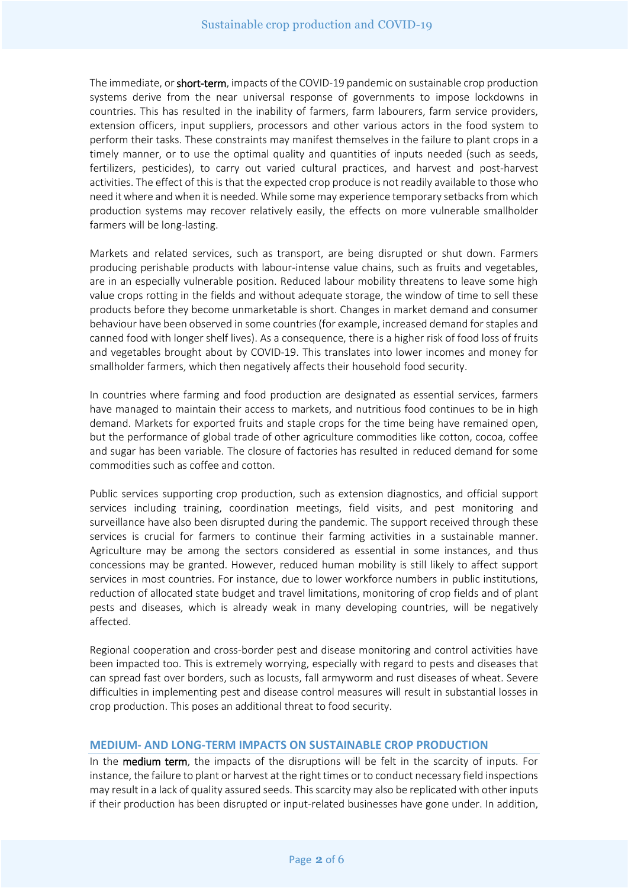The immediate, or short-term, impacts of the COVID-19 pandemic on sustainable crop production systems derive from the near universal response of governments to impose lockdowns in countries. This has resulted in the inability of farmers, farm labourers, farm service providers, extension officers, input suppliers, processors and other various actors in the food system to perform their tasks. These constraints may manifest themselves in the failure to plant crops in a timely manner, or to use the optimal quality and quantities of inputs needed (such as seeds, fertilizers, pesticides), to carry out varied cultural practices, and harvest and post-harvest activities. The effect of this is that the expected crop produce is not readily available to those who need itwhere and when it is needed. While some may experience temporary setbacks from which production systems may recover relatively easily, the effects on more vulnerable smallholder farmers will be long-lasting.

Markets and related services, such as transport, are being disrupted or shut down. Farmers producing perishable products with labour-intense value chains, such as fruits and vegetables, are in an especially vulnerable position. Reduced labour mobility threatens to leave some high value crops rotting in the fields and without adequate storage, the window of time to sell these products before they become unmarketable is short. Changes in market demand and consumer behaviour have been observed in some countries (for example, increased demand for staples and canned food with longer shelf lives). As a consequence, there is a higher risk of food loss of fruits and vegetables brought about by COVID-19. This translates into lower incomes and money for smallholder farmers, which then negatively affects their household food security.

In countries where farming and food production are designated as essential services, farmers have managed to maintain their access to markets, and nutritious food continues to be in high demand. Markets for exported fruits and staple crops for the time being have remained open, but the performance of global trade of other agriculture commodities like cotton, cocoa, coffee and sugar has been variable. The closure of factories has resulted in reduced demand for some commodities such as coffee and cotton.

Public services supporting crop production, such as extension diagnostics, and official support services including training, coordination meetings, field visits, and pest monitoring and surveillance have also been disrupted during the pandemic. The support received through these services is crucial for farmers to continue their farming activities in a sustainable manner. Agriculture may be among the sectors considered as essential in some instances, and thus concessions may be granted. However, reduced human mobility is still likely to affect support services in most countries. For instance, due to lower workforce numbers in public institutions, reduction of allocated state budget and travel limitations, monitoring of crop fields and of plant pests and diseases, which is already weak in many developing countries, will be negatively affected.

Regional cooperation and cross-border pest and disease monitoring and control activities have been impacted too. This is extremely worrying, especially with regard to pests and diseases that can spread fast over borders, such as locusts, fall armyworm and rust diseases of wheat. Severe difficulties in implementing pest and disease control measures will result in substantial losses in crop production. This poses an additional threat to food security.

### **MEDIUM- AND LONG-TERM IMPACTS ON SUSTAINABLE CROP PRODUCTION**

In the medium term, the impacts of the disruptions will be felt in the scarcity of inputs. For instance, the failure to plant or harvest at the right times or to conduct necessary field inspections may result in a lack of quality assured seeds. This scarcity may also be replicated with other inputs if their production has been disrupted or input-related businesses have gone under. In addition,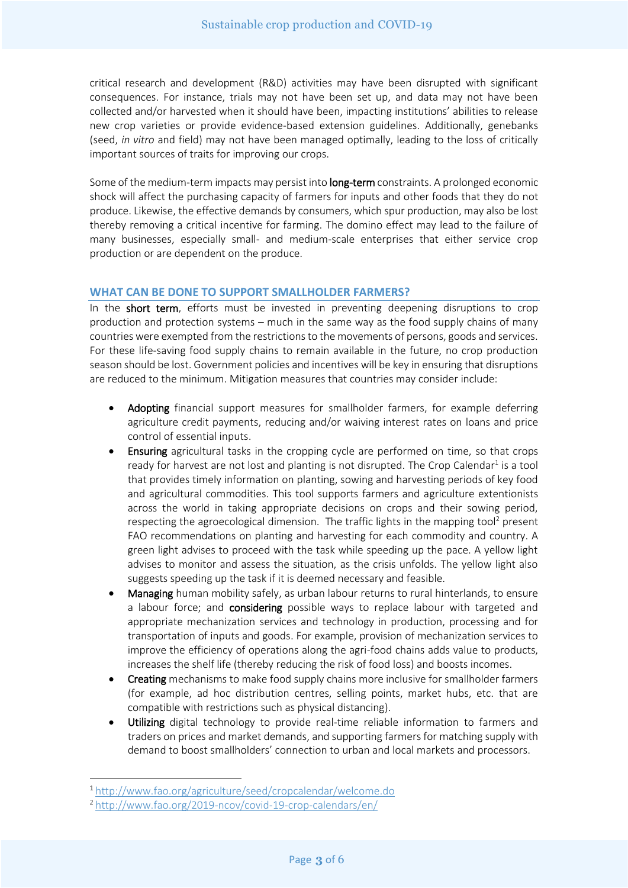critical research and development (R&D) activities may have been disrupted with significant consequences. For instance, trials may not have been set up, and data may not have been collected and/or harvested when it should have been, impacting institutions' abilities to release new crop varieties or provide evidence-based extension guidelines. Additionally, genebanks (seed, *in vitro* and field) may not have been managed optimally, leading to the loss of critically important sources of traits for improving our crops.

Some of the medium-term impacts may persist into long-term constraints. A prolonged economic shock will affect the purchasing capacity of farmers for inputs and other foods that they do not produce. Likewise, the effective demands by consumers, which spur production, may also be lost thereby removing a critical incentive for farming. The domino effect may lead to the failure of many businesses, especially small- and medium-scale enterprises that either service crop production or are dependent on the produce.

### **WHAT CAN BE DONE TO SUPPORT SMALLHOLDER FARMERS?**

In the short term, efforts must be invested in preventing deepening disruptions to crop production and protection systems – much in the same way as the food supply chains of many countries were exempted from the restrictions to the movements of persons, goods and services. For these life-saving food supply chains to remain available in the future, no crop production season should be lost. Government policies and incentives will be key in ensuring that disruptions are reduced to the minimum. Mitigation measures that countries may consider include:

- Adopting financial support measures for smallholder farmers, for example deferring agriculture credit payments, reducing and/or waiving interest rates on loans and price control of essential inputs.
- Ensuring agricultural tasks in the cropping cycle are performed on time, so that crops ready for harvest are not lost and planting is not disrupted. The Crop Calendar<sup>1</sup> is a tool that provides timely information on planting, sowing and harvesting periods of key food and agricultural commodities. This tool supports farmers and agriculture extentionists across the world in taking appropriate decisions on crops and their sowing period, respecting the agroecological dimension. The traffic lights in the mapping tool<sup>2</sup> present FAO recommendations on planting and harvesting for each commodity and country. A green light advises to proceed with the task while speeding up the pace. A yellow light advises to monitor and assess the situation, as the crisis unfolds. The yellow light also suggests speeding up the task if it is deemed necessary and feasible.
- Managing human mobility safely, as urban labour returns to rural hinterlands, to ensure a labour force; and considering possible ways to replace labour with targeted and appropriate mechanization services and technology in production, processing and for transportation of inputs and goods. For example, provision of mechanization services to improve the efficiency of operations along the agri-food chains adds value to products, increases the shelf life (thereby reducing the risk of food loss) and boosts incomes.
- Creating mechanisms to make food supply chains more inclusive for smallholder farmers (for example, ad hoc distribution centres, selling points, market hubs, etc. that are compatible with restrictions such as physical distancing).
- Utilizing digital technology to provide real-time reliable information to farmers and traders on prices and market demands, and supporting farmers for matching supply with demand to boost smallholders' connection to urban and local markets and processors.

**.** 

<sup>1</sup> <http://www.fao.org/agriculture/seed/cropcalendar/welcome.do>

<sup>2</sup> <http://www.fao.org/2019-ncov/covid-19-crop-calendars/en/>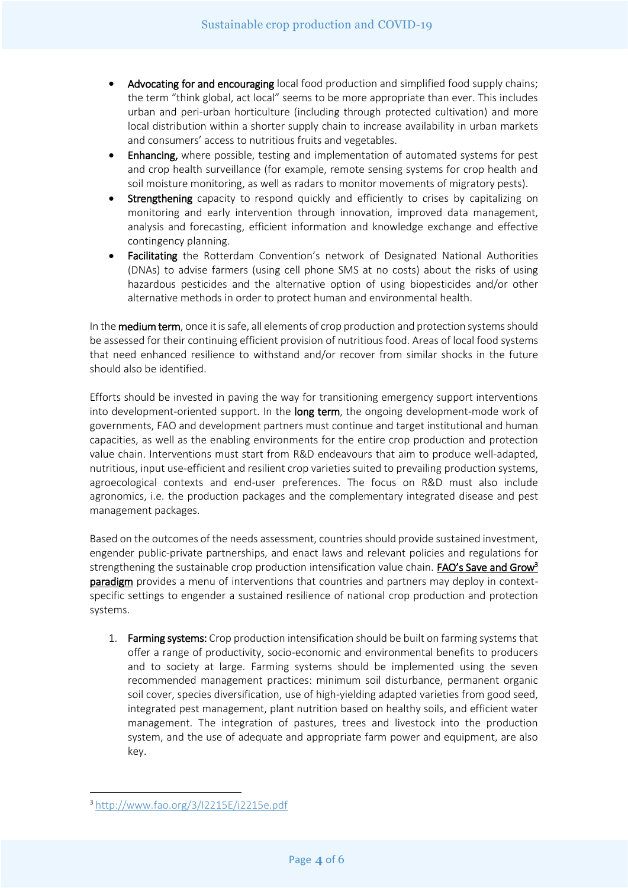- Advocating for and encouraging local food production and simplified food supply chains; the term "think global, act local" seems to be more appropriate than ever. This includes urban and peri-urban horticulture (including through protected cultivation) and more local distribution within a shorter supply chain to increase availability in urban markets and consumers' access to nutritious fruits and vegetables.
- Enhancing, where possible, testing and implementation of automated systems for pest and crop health surveillance (for example, remote sensing systems for crop health and soil moisture monitoring, as well as radars to monitor movements of migratory pests).
- Strengthening capacity to respond quickly and efficiently to crises by capitalizing on monitoring and early intervention through innovation, improved data management, analysis and forecasting, efficient information and knowledge exchange and effective contingency planning.
- Facilitating the Rotterdam Convention's network of Designated National Authorities (DNAs) to advise farmers (using cell phone SMS at no costs) about the risks of using hazardous pesticides and the alternative option of using biopesticides and/or other alternative methods in order to protect human and environmental health.

In the medium term, once it is safe, all elements of crop production and protection systems should be assessed for their continuing efficient provision of nutritious food. Areas of local food systems that need enhanced resilience to withstand and/or recover from similar shocks in the future should also be identified.

Efforts should be invested in paving the way for transitioning emergency support interventions into development-oriented support. In the long term, the ongoing development-mode work of governments, FAO and development partners must continue and target institutional and human capacities, as well as the enabling environments for the entire crop production and protection value chain. Interventions must start from R&D endeavours that aim to produce well-adapted, nutritious, input use-efficient and resilient crop varieties suited to prevailing production systems, agroecological contexts and end-user preferences. The focus on R&D must also include agronomics, i.e. the production packages and the complementary integrated disease and pest management packages.

Based on the outcomes of the needs assessment, countries should provide sustained investment, engender public-private partnerships, and enact laws and relevant policies and regulations for strengthening the sustainable crop production intensification value chain. **FAO's Save and Grow<sup>3</sup>** paradigm provides a menu of interventions that countries and partners may deploy in contextspecific settings to engender a sustained resilience of national crop production and protection systems.

1. Farming systems: Crop production intensification should be built on farming systems that offer a range of productivity, socio-economic and environmental benefits to producers and to society at large. Farming systems should be implemented using the seven recommended management practices: minimum soil disturbance, permanent organic soil cover, species diversification, use of high-yielding adapted varieties from good seed, integrated pest management, plant nutrition based on healthy soils, and efficient water management. The integration of pastures, trees and livestock into the production system, and the use of adequate and appropriate farm power and equipment, are also key.

**.** 

<sup>3</sup> <http://www.fao.org/3/I2215E/i2215e.pdf>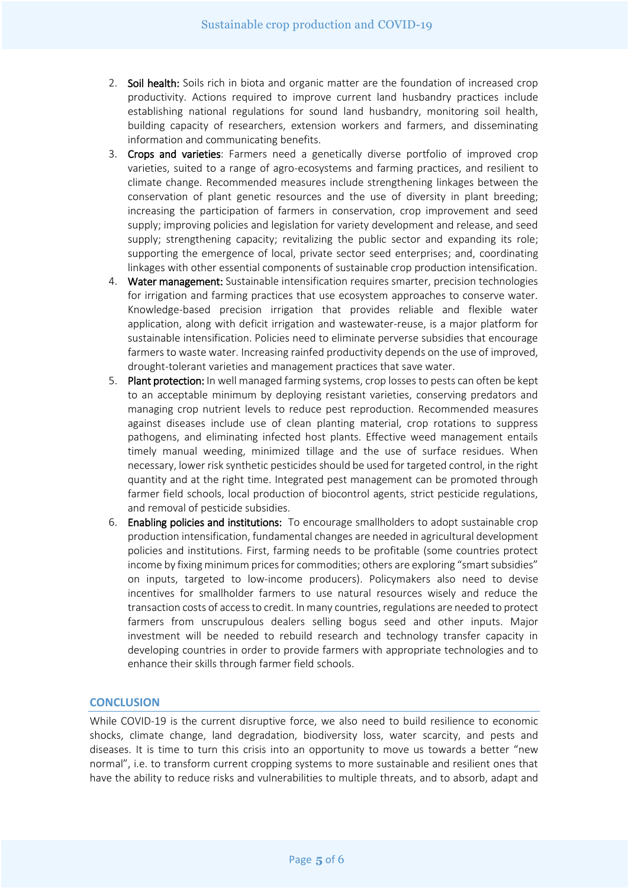- 2. Soil health: Soils rich in biota and organic matter are the foundation of increased crop productivity. Actions required to improve current land husbandry practices include establishing national regulations for sound land husbandry, monitoring soil health, building capacity of researchers, extension workers and farmers, and disseminating information and communicating benefits.
- 3. Crops and varieties: Farmers need a genetically diverse portfolio of improved crop varieties, suited to a range of agro-ecosystems and farming practices, and resilient to climate change. Recommended measures include strengthening linkages between the conservation of plant genetic resources and the use of diversity in plant breeding; increasing the participation of farmers in conservation, crop improvement and seed supply; improving policies and legislation for variety development and release, and seed supply; strengthening capacity; revitalizing the public sector and expanding its role; supporting the emergence of local, private sector seed enterprises; and, coordinating linkages with other essential components of sustainable crop production intensification.
- 4. Water management: Sustainable intensification requires smarter, precision technologies for irrigation and farming practices that use ecosystem approaches to conserve water. Knowledge-based precision irrigation that provides reliable and flexible water application, along with deficit irrigation and wastewater-reuse, is a major platform for sustainable intensification. Policies need to eliminate perverse subsidies that encourage farmers to waste water. Increasing rainfed productivity depends on the use of improved, drought-tolerant varieties and management practices that save water.
- 5. Plant protection: In well managed farming systems, crop losses to pests can often be kept to an acceptable minimum by deploying resistant varieties, conserving predators and managing crop nutrient levels to reduce pest reproduction. Recommended measures against diseases include use of clean planting material, crop rotations to suppress pathogens, and eliminating infected host plants. Effective weed management entails timely manual weeding, minimized tillage and the use of surface residues. When necessary, lower risk synthetic pesticides should be used for targeted control, in the right quantity and at the right time. Integrated pest management can be promoted through farmer field schools, local production of biocontrol agents, strict pesticide regulations, and removal of pesticide subsidies.
- 6. Enabling policies and institutions: To encourage smallholders to adopt sustainable crop production intensification, fundamental changes are needed in agricultural development policies and institutions. First, farming needs to be profitable (some countries protect income by fixing minimum prices for commodities; others are exploring "smart subsidies" on inputs, targeted to low-income producers). Policymakers also need to devise incentives for smallholder farmers to use natural resources wisely and reduce the transaction costs of access to credit. In many countries, regulations are needed to protect farmers from unscrupulous dealers selling bogus seed and other inputs. Major investment will be needed to rebuild research and technology transfer capacity in developing countries in order to provide farmers with appropriate technologies and to enhance their skills through farmer field schools.

#### **CONCLUSION**

While COVID-19 is the current disruptive force, we also need to build resilience to economic shocks, climate change, land degradation, biodiversity loss, water scarcity, and pests and diseases. It is time to turn this crisis into an opportunity to move us towards a better "new normal", i.e. to transform current cropping systems to more sustainable and resilient ones that have the ability to reduce risks and vulnerabilities to multiple threats, and to absorb, adapt and